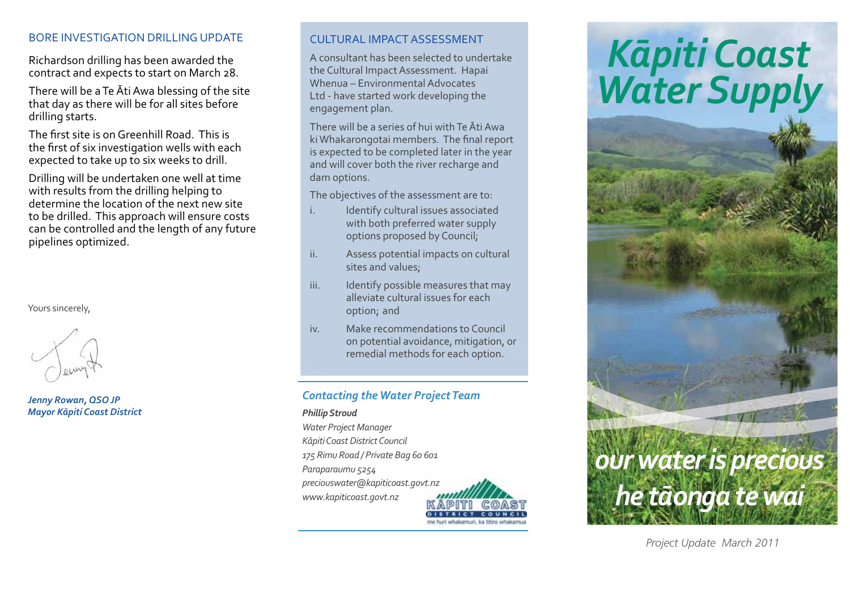## BORE INVESTIGATION DRILLING UPDATE

Richardson drilling has been awarded the contract and expects to start on March 28.

There will be a Te Āti Awa blessing of the site that day as there will be for all sites before drilling starts.

The first site is on Greenhill Road. This is the first of six investigation wells with each expected to take up to six weeks to drill.

Drilling will be undertaken one well at time with results from the drilling helping to determine the location of the next new site to be drilled. This approach will ensure costs can be controlled and the length of any future pipelines optimized.

Yours sincerely,

*Jenny Rowan, QSO JP Mayor K-piti Coast District*

# CULTURAL IMPACT ASSESSMENT

A consultant has been selected to undertake the Cultural Impact Assessment. Hapai Whenua – Environmental Advocates Ltd - have started work developing the engagement plan.

There will be a series of hui with Te Āti Awa ki Whakarongotai members. The final report is expected to be completed later in the year and will cover both the river recharge and dam options.

The objectives of the assessment are to:

- i. Identify cultural issues associated with both preferred water supply options proposed by Council;
- ii. Assess potential impacts on cultural sites and values;
- iii. Identify possible measures that may alleviate cultural issues for each option; and
- iv. Make recommendations to Council on potential avoidance, mitigation, or remedial methods for each option.

# *Contacting the Water Project Team*

### *Phillip Stroud*

*Water Project Manager K-piti Coast District Council 175 Rimu Road / Private Bag 60 601 Paraparaumu 5254 preciouswater@kapiticoast.govt.nz www.kapiticoast.govt.nz*



# *K-<sup>p</sup>iti Coast Water Supply*